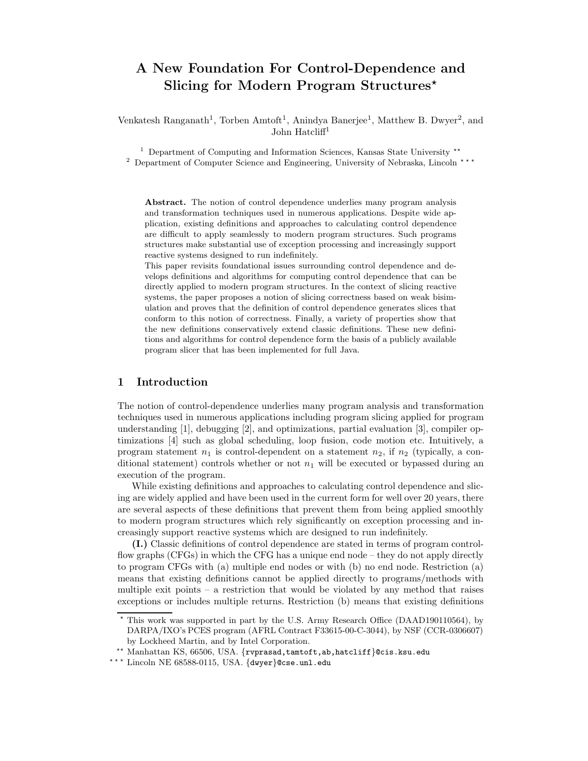# A New Foundation For Control-Dependence and Slicing for Modern Program Structures<sup>\*</sup>

Venkatesh Ranganath<sup>1</sup>, Torben Amtoft<sup>1</sup>, Anindya Banerjee<sup>1</sup>, Matthew B. Dwyer<sup>2</sup>, and John Hatcliff<sup>1</sup>

 $^1$  Department of Computing and Information Sciences, Kansas State University  $^{\star\star}$ <sup>2</sup> Department of Computer Science and Engineering, University of Nebraska, Lincoln \*\*\*

Abstract. The notion of control dependence underlies many program analysis and transformation techniques used in numerous applications. Despite wide application, existing definitions and approaches to calculating control dependence are difficult to apply seamlessly to modern program structures. Such programs structures make substantial use of exception processing and increasingly support reactive systems designed to run indefinitely.

This paper revisits foundational issues surrounding control dependence and develops definitions and algorithms for computing control dependence that can be directly applied to modern program structures. In the context of slicing reactive systems, the paper proposes a notion of slicing correctness based on weak bisimulation and proves that the definition of control dependence generates slices that conform to this notion of correctness. Finally, a variety of properties show that the new definitions conservatively extend classic definitions. These new definitions and algorithms for control dependence form the basis of a publicly available program slicer that has been implemented for full Java.

# 1 Introduction

The notion of control-dependence underlies many program analysis and transformation techniques used in numerous applications including program slicing applied for program understanding [1], debugging [2], and optimizations, partial evaluation [3], compiler optimizations [4] such as global scheduling, loop fusion, code motion etc. Intuitively, a program statement  $n_1$  is control-dependent on a statement  $n_2$ , if  $n_2$  (typically, a conditional statement) controls whether or not  $n_1$  will be executed or bypassed during an execution of the program.

While existing definitions and approaches to calculating control dependence and slicing are widely applied and have been used in the current form for well over 20 years, there are several aspects of these definitions that prevent them from being applied smoothly to modern program structures which rely significantly on exception processing and increasingly support reactive systems which are designed to run indefinitely.

(I.) Classic definitions of control dependence are stated in terms of program controlflow graphs (CFGs) in which the CFG has a unique end node – they do not apply directly to program CFGs with (a) multiple end nodes or with (b) no end node. Restriction (a) means that existing definitions cannot be applied directly to programs/methods with multiple exit points – a restriction that would be violated by any method that raises exceptions or includes multiple returns. Restriction (b) means that existing definitions

<sup>?</sup> This work was supported in part by the U.S. Army Research Office (DAAD190110564), by DARPA/IXO's PCES program (AFRL Contract F33615-00-C-3044), by NSF (CCR-0306607) by Lockheed Martin, and by Intel Corporation.

<sup>??</sup> Manhattan KS, 66506, USA. {rvprasad,tamtoft,ab,hatcliff}@cis.ksu.edu

<sup>\*\*\*</sup> Lincoln NE 68588-0115, USA. {dwyer}@cse.unl.edu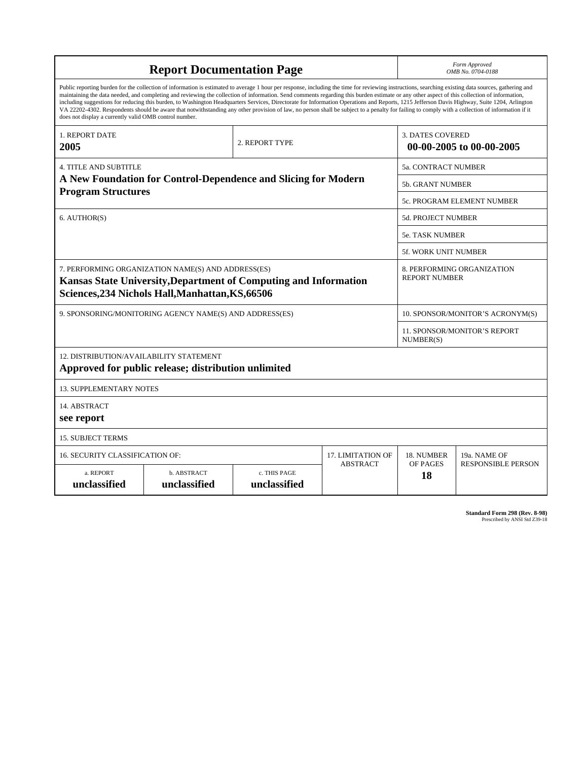| <b>Report Documentation Page</b>                                                                                                                                                                                                                                                                                                                                                                                                                                                                                                                                                                                                                                                                                                                                                                                                                                   |                             |                              |                 | Form Approved<br>OMB No. 0704-0188                  |                           |
|--------------------------------------------------------------------------------------------------------------------------------------------------------------------------------------------------------------------------------------------------------------------------------------------------------------------------------------------------------------------------------------------------------------------------------------------------------------------------------------------------------------------------------------------------------------------------------------------------------------------------------------------------------------------------------------------------------------------------------------------------------------------------------------------------------------------------------------------------------------------|-----------------------------|------------------------------|-----------------|-----------------------------------------------------|---------------------------|
| Public reporting burden for the collection of information is estimated to average 1 hour per response, including the time for reviewing instructions, searching existing data sources, gathering and<br>maintaining the data needed, and completing and reviewing the collection of information. Send comments regarding this burden estimate or any other aspect of this collection of information,<br>including suggestions for reducing this burden, to Washington Headquarters Services, Directorate for Information Operations and Reports, 1215 Jefferson Davis Highway, Suite 1204, Arlington<br>VA 22202-4302. Respondents should be aware that notwithstanding any other provision of law, no person shall be subject to a penalty for failing to comply with a collection of information if it<br>does not display a currently valid OMB control number. |                             |                              |                 |                                                     |                           |
| <b>1. REPORT DATE</b><br>2005                                                                                                                                                                                                                                                                                                                                                                                                                                                                                                                                                                                                                                                                                                                                                                                                                                      | 2. REPORT TYPE              |                              |                 | <b>3. DATES COVERED</b><br>00-00-2005 to 00-00-2005 |                           |
| <b>4. TITLE AND SUBTITLE</b>                                                                                                                                                                                                                                                                                                                                                                                                                                                                                                                                                                                                                                                                                                                                                                                                                                       |                             |                              |                 | 5a. CONTRACT NUMBER                                 |                           |
| A New Foundation for Control-Dependence and Slicing for Modern<br><b>Program Structures</b>                                                                                                                                                                                                                                                                                                                                                                                                                                                                                                                                                                                                                                                                                                                                                                        |                             |                              |                 | <b>5b. GRANT NUMBER</b>                             |                           |
|                                                                                                                                                                                                                                                                                                                                                                                                                                                                                                                                                                                                                                                                                                                                                                                                                                                                    |                             |                              |                 | 5c. PROGRAM ELEMENT NUMBER                          |                           |
| 6. AUTHOR(S)                                                                                                                                                                                                                                                                                                                                                                                                                                                                                                                                                                                                                                                                                                                                                                                                                                                       |                             |                              |                 | <b>5d. PROJECT NUMBER</b>                           |                           |
|                                                                                                                                                                                                                                                                                                                                                                                                                                                                                                                                                                                                                                                                                                                                                                                                                                                                    |                             |                              |                 | <b>5e. TASK NUMBER</b>                              |                           |
|                                                                                                                                                                                                                                                                                                                                                                                                                                                                                                                                                                                                                                                                                                                                                                                                                                                                    |                             |                              |                 | <b>5f. WORK UNIT NUMBER</b>                         |                           |
| 7. PERFORMING ORGANIZATION NAME(S) AND ADDRESS(ES)<br>Kansas State University, Department of Computing and Information<br>Sciences, 234 Nichols Hall, Manhattan, KS, 66506                                                                                                                                                                                                                                                                                                                                                                                                                                                                                                                                                                                                                                                                                         |                             |                              |                 | 8. PERFORMING ORGANIZATION<br><b>REPORT NUMBER</b>  |                           |
| 9. SPONSORING/MONITORING AGENCY NAME(S) AND ADDRESS(ES)                                                                                                                                                                                                                                                                                                                                                                                                                                                                                                                                                                                                                                                                                                                                                                                                            |                             |                              |                 | 10. SPONSOR/MONITOR'S ACRONYM(S)                    |                           |
|                                                                                                                                                                                                                                                                                                                                                                                                                                                                                                                                                                                                                                                                                                                                                                                                                                                                    |                             |                              |                 | 11. SPONSOR/MONITOR'S REPORT<br>NUMBER(S)           |                           |
| 12. DISTRIBUTION/AVAILABILITY STATEMENT<br>Approved for public release; distribution unlimited                                                                                                                                                                                                                                                                                                                                                                                                                                                                                                                                                                                                                                                                                                                                                                     |                             |                              |                 |                                                     |                           |
| <b>13. SUPPLEMENTARY NOTES</b>                                                                                                                                                                                                                                                                                                                                                                                                                                                                                                                                                                                                                                                                                                                                                                                                                                     |                             |                              |                 |                                                     |                           |
| 14. ABSTRACT<br>see report                                                                                                                                                                                                                                                                                                                                                                                                                                                                                                                                                                                                                                                                                                                                                                                                                                         |                             |                              |                 |                                                     |                           |
| <b>15. SUBJECT TERMS</b>                                                                                                                                                                                                                                                                                                                                                                                                                                                                                                                                                                                                                                                                                                                                                                                                                                           |                             |                              |                 |                                                     |                           |
| 16. SECURITY CLASSIFICATION OF:                                                                                                                                                                                                                                                                                                                                                                                                                                                                                                                                                                                                                                                                                                                                                                                                                                    | 17. LIMITATION OF           | 18. NUMBER                   | 19a. NAME OF    |                                                     |                           |
| a. REPORT<br>unclassified                                                                                                                                                                                                                                                                                                                                                                                                                                                                                                                                                                                                                                                                                                                                                                                                                                          | b. ABSTRACT<br>unclassified | c. THIS PAGE<br>unclassified | <b>ABSTRACT</b> | OF PAGES<br>18                                      | <b>RESPONSIBLE PERSON</b> |

**Standard Form 298 (Rev. 8-98)**<br>Prescribed by ANSI Std Z39-18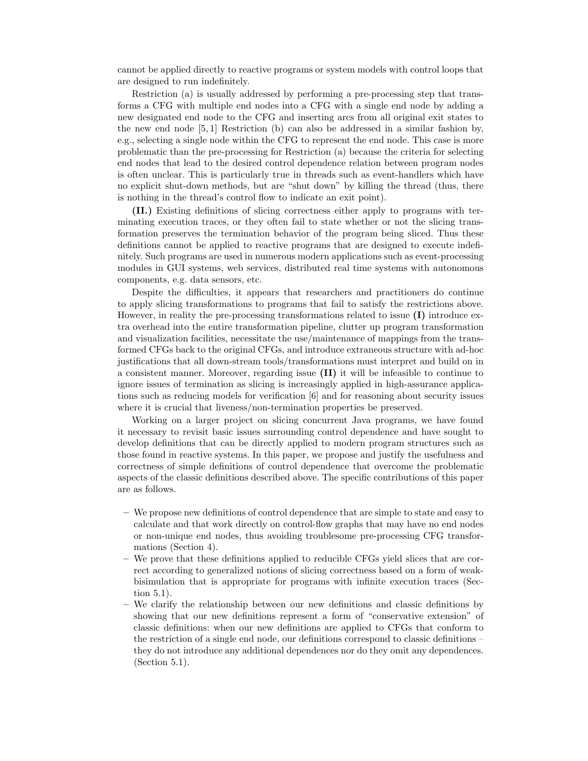cannot be applied directly to reactive programs or system models with control loops that are designed to run indefinitely.

Restriction (a) is usually addressed by performing a pre-processing step that transforms a CFG with multiple end nodes into a CFG with a single end node by adding a new designated end node to the CFG and inserting arcs from all original exit states to the new end node  $[5, 1]$  Restriction (b) can also be addressed in a similar fashion by, e.g., selecting a single node within the CFG to represent the end node. This case is more problematic than the pre-processing for Restriction (a) because the criteria for selecting end nodes that lead to the desired control dependence relation between program nodes is often unclear. This is particularly true in threads such as event-handlers which have no explicit shut-down methods, but are "shut down" by killing the thread (thus, there is nothing in the thread's control flow to indicate an exit point).

(II.) Existing definitions of slicing correctness either apply to programs with terminating execution traces, or they often fail to state whether or not the slicing transformation preserves the termination behavior of the program being sliced. Thus these definitions cannot be applied to reactive programs that are designed to execute indefinitely. Such programs are used in numerous modern applications such as event-processing modules in GUI systems, web services, distributed real time systems with autonomous components, e.g. data sensors, etc.

Despite the difficulties, it appears that researchers and practitioners do continue to apply slicing transformations to programs that fail to satisfy the restrictions above. However, in reality the pre-processing transformations related to issue (I) introduce extra overhead into the entire transformation pipeline, clutter up program transformation and visualization facilities, necessitate the use/maintenance of mappings from the transformed CFGs back to the original CFGs, and introduce extraneous structure with ad-hoc justifications that all down-stream tools/transformations must interpret and build on in a consistent manner. Moreover, regarding issue (II) it will be infeasible to continue to ignore issues of termination as slicing is increasingly applied in high-assurance applications such as reducing models for verification [6] and for reasoning about security issues where it is crucial that liveness/non-termination properties be preserved.

Working on a larger project on slicing concurrent Java programs, we have found it necessary to revisit basic issues surrounding control dependence and have sought to develop definitions that can be directly applied to modern program structures such as those found in reactive systems. In this paper, we propose and justify the usefulness and correctness of simple definitions of control dependence that overcome the problematic aspects of the classic definitions described above. The specific contributions of this paper are as follows.

- We propose new definitions of control dependence that are simple to state and easy to calculate and that work directly on control-flow graphs that may have no end nodes or non-unique end nodes, thus avoiding troublesome pre-processing CFG transformations (Section 4).
- We prove that these definitions applied to reducible CFGs yield slices that are correct according to generalized notions of slicing correctness based on a form of weakbisimulation that is appropriate for programs with infinite execution traces (Section 5.1).
- We clarify the relationship between our new definitions and classic definitions by showing that our new definitions represent a form of "conservative extension" of classic definitions: when our new definitions are applied to CFGs that conform to the restriction of a single end node, our definitions correspond to classic definitions – they do not introduce any additional dependences nor do they omit any dependences. (Section 5.1).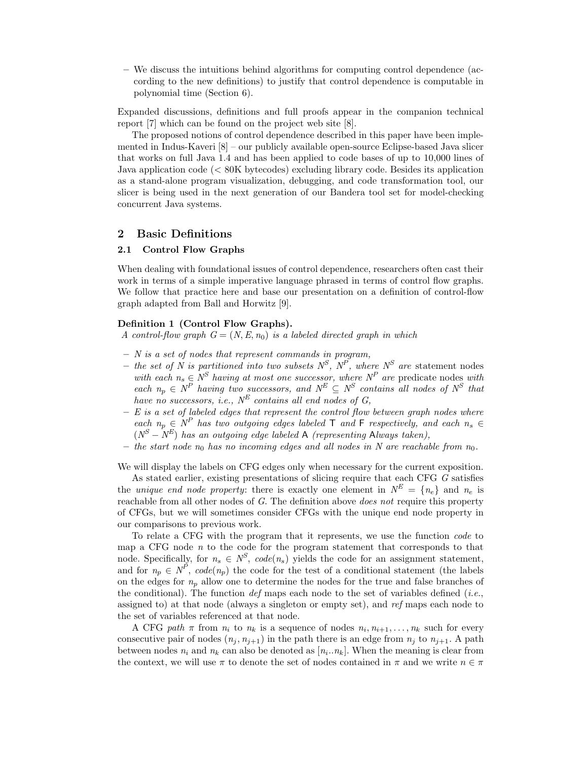– We discuss the intuitions behind algorithms for computing control dependence (according to the new definitions) to justify that control dependence is computable in polynomial time (Section 6).

Expanded discussions, definitions and full proofs appear in the companion technical report [7] which can be found on the project web site [8].

The proposed notions of control dependence described in this paper have been implemented in Indus-Kaveri [8] – our publicly available open-source Eclipse-based Java slicer that works on full Java 1.4 and has been applied to code bases of up to 10,000 lines of Java application code (< 80K bytecodes) excluding library code. Besides its application as a stand-alone program visualization, debugging, and code transformation tool, our slicer is being used in the next generation of our Bandera tool set for model-checking concurrent Java systems.

# 2 Basic Definitions

#### 2.1 Control Flow Graphs

When dealing with foundational issues of control dependence, researchers often cast their work in terms of a simple imperative language phrased in terms of control flow graphs. We follow that practice here and base our presentation on a definition of control-flow graph adapted from Ball and Horwitz [9].

#### Definition 1 (Control Flow Graphs).

A control-flow graph  $G = (N, E, n_0)$  is a labeled directed graph in which

- $-$  N is a set of nodes that represent commands in program,
- the set of N is partitioned into two subsets  $N^S$ ,  $N^P$ , where  $N^S$  are statement nodes with each  $n_s \in N^S$  having at most one successor, where  $N^P$  are predicate nodes with each  $n_p \in N^P$  having two successors, and  $N^E \subseteq N^S$  contains all nodes of  $N^S$  that have no successors, i.e.,  $N^{E}$  contains all end nodes of G,
- $E$  is a set of labeled edges that represent the control flow between graph nodes where each  $n_p \in N^P$  has two outgoing edges labeled  $\top$  and  $\vdash$  respectively, and each  $n_s \in$  $(N^{S}-N^{E})$  has an outgoing edge labeled A (representing Always taken),
- the start node  $n_0$  has no incoming edges and all nodes in N are reachable from  $n_0$ .

We will display the labels on CFG edges only when necessary for the current exposition.

As stated earlier, existing presentations of slicing require that each CFG G satisfies the unique end node property: there is exactly one element in  $N^E = \{n_e\}$  and  $n_e$  is reachable from all other nodes of G. The definition above *does not* require this property of CFGs, but we will sometimes consider CFGs with the unique end node property in our comparisons to previous work.

To relate a CFG with the program that it represents, we use the function code to map a CFG node  $n$  to the code for the program statement that corresponds to that node. Specifically, for  $n_s \in N^S$ ,  $code(n_s)$  yields the code for an assignment statement, and for  $n_p \in N^p$ ,  $code(n_p)$  the code for the test of a conditional statement (the labels on the edges for  $n_p$  allow one to determine the nodes for the true and false branches of the conditional). The function def maps each node to the set of variables defined (*i.e.*, assigned to) at that node (always a singleton or empty set), and ref maps each node to the set of variables referenced at that node.

A CFG path  $\pi$  from  $n_i$  to  $n_k$  is a sequence of nodes  $n_i, n_{i+1}, \ldots, n_k$  such for every consecutive pair of nodes  $(n_i, n_{i+1})$  in the path there is an edge from  $n_i$  to  $n_{i+1}$ . A path between nodes  $n_i$  and  $n_k$  can also be denoted as  $[n_i..n_k]$ . When the meaning is clear from the context, we will use  $\pi$  to denote the set of nodes contained in  $\pi$  and we write  $n \in \pi$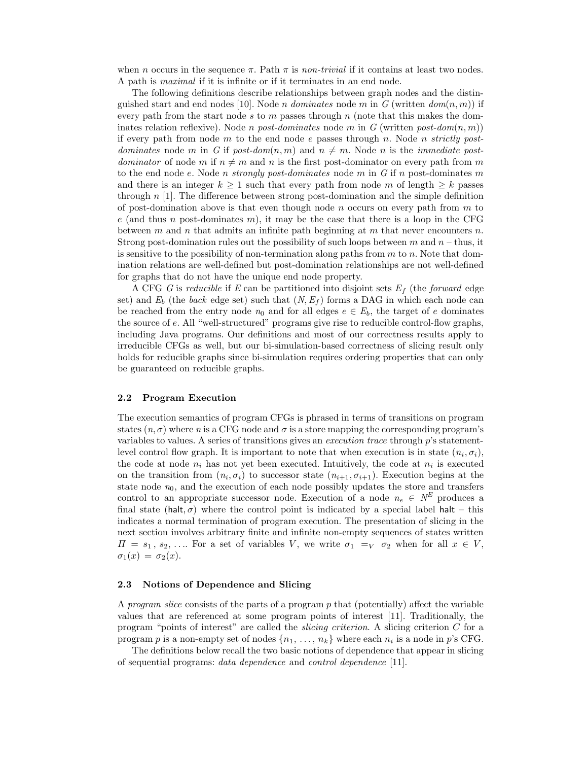when n occurs in the sequence  $\pi$ . Path  $\pi$  is non-trivial if it contains at least two nodes. A path is maximal if it is infinite or if it terminates in an end node.

The following definitions describe relationships between graph nodes and the distinguished start and end nodes [10]. Node *n* dominates node m in G (written  $dom(n, m)$ ) if every path from the start node s to m passes through n (note that this makes the dominates relation reflexive). Node *n* post-dominates node m in G (written post-dom $(n, m)$ ) if every path from node m to the end node e passes through n. Node n strictly postdominates node m in G if post-dom(n, m) and  $n \neq m$ . Node n is the *immediate postdominator* of node m if  $n \neq m$  and n is the first post-dominator on every path from m to the end node e. Node n strongly post-dominates node m in G if n post-dominates m and there is an integer  $k \geq 1$  such that every path from node m of length  $\geq k$  passes through  $n$  [1]. The difference between strong post-domination and the simple definition of post-domination above is that even though node n occurs on every path from  $m$  to e (and thus n post-dominates m), it may be the case that there is a loop in the CFG between m and n that admits an infinite path beginning at m that never encounters n. Strong post-domination rules out the possibility of such loops between  $m$  and  $n -$  thus, it is sensitive to the possibility of non-termination along paths from  $m$  to  $n$ . Note that domination relations are well-defined but post-domination relationships are not well-defined for graphs that do not have the unique end node property.

A CFG G is reducible if E can be partitioned into disjoint sets  $E_f$  (the forward edge set) and  $E_b$  (the back edge set) such that  $(N, E_f)$  forms a DAG in which each node can be reached from the entry node  $n_0$  and for all edges  $e \in E_b$ , the target of e dominates the source of e. All "well-structured" programs give rise to reducible control-flow graphs, including Java programs. Our definitions and most of our correctness results apply to irreducible CFGs as well, but our bi-simulation-based correctness of slicing result only holds for reducible graphs since bi-simulation requires ordering properties that can only be guaranteed on reducible graphs.

#### 2.2 Program Execution

The execution semantics of program CFGs is phrased in terms of transitions on program states  $(n, \sigma)$  where n is a CFG node and  $\sigma$  is a store mapping the corresponding program's variables to values. A series of transitions gives an execution trace through p's statementlevel control flow graph. It is important to note that when execution is in state  $(n_i, \sigma_i)$ , the code at node  $n_i$  has not yet been executed. Intuitively, the code at  $n_i$  is executed on the transition from  $(n_i, \sigma_i)$  to successor state  $(n_{i+1}, \sigma_{i+1})$ . Execution begins at the state node  $n_0$ , and the execution of each node possibly updates the store and transfers control to an appropriate successor node. Execution of a node  $n_e \in N^E$  produces a final state (halt,  $\sigma$ ) where the control point is indicated by a special label halt – this indicates a normal termination of program execution. The presentation of slicing in the next section involves arbitrary finite and infinite non-empty sequences of states written  $\Pi = s_1, s_2, \ldots$  For a set of variables V, we write  $\sigma_1 =_V \sigma_2$  when for all  $x \in V$ ,  $\sigma_1(x) = \sigma_2(x)$ .

#### 2.3 Notions of Dependence and Slicing

A *program slice* consists of the parts of a program  $p$  that (potentially) affect the variable values that are referenced at some program points of interest [11]. Traditionally, the program "points of interest" are called the slicing criterion. A slicing criterion C for a program p is a non-empty set of nodes  $\{n_1, \ldots, n_k\}$  where each  $n_i$  is a node in p's CFG.

The definitions below recall the two basic notions of dependence that appear in slicing of sequential programs: data dependence and control dependence [11].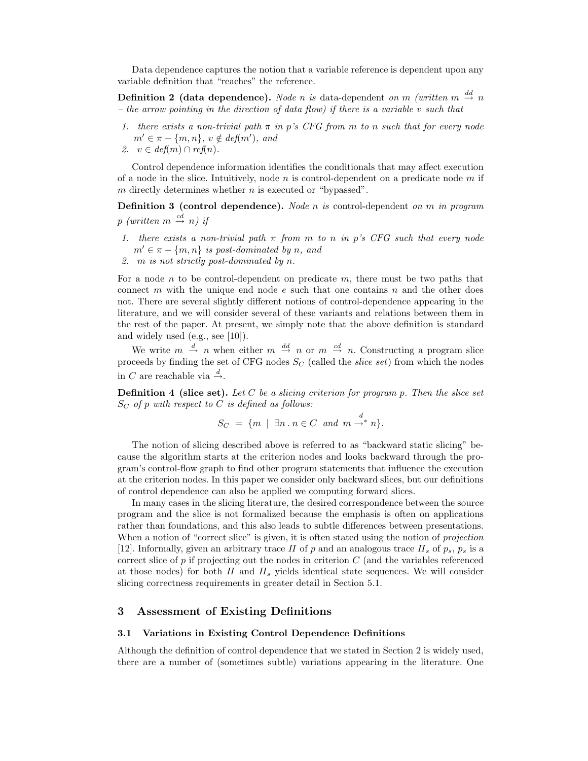Data dependence captures the notion that a variable reference is dependent upon any variable definition that "reaches" the reference.

**Definition 2 (data dependence).** Node n is data-dependent on m (written  $m \stackrel{dd}{\rightarrow} n$ – the arrow pointing in the direction of data flow) if there is a variable v such that

- 1. there exists a non-trivial path  $\pi$  in p's CFG from m to n such that for every node  $m' \in \pi - \{m, n\}, v \notin \text{def}(m'), \text{ and}$
- 2.  $v \in \text{def}(m) \cap \text{ref}(n)$ .

Control dependence information identifies the conditionals that may affect execution of a node in the slice. Intuitively, node  $n$  is control-dependent on a predicate node  $m$  if  $m$  directly determines whether  $n$  is executed or "bypassed".

**Definition 3 (control dependence).** Node n is control-dependent on m in program  $p$  (written  $m \stackrel{cd}{\rightarrow} n$ ) if

- 1. there exists a non-trivial path  $\pi$  from m to n in p's CFG such that every node  $m' \in \pi - \{m, n\}$  is post-dominated by n, and
- 2. m is not strictly post-dominated by n.

For a node n to be control-dependent on predicate  $m$ , there must be two paths that connect m with the unique end node  $e$  such that one contains  $n$  and the other does not. There are several slightly different notions of control-dependence appearing in the literature, and we will consider several of these variants and relations between them in the rest of the paper. At present, we simply note that the above definition is standard and widely used (e.g., see [10]).

We write  $m \stackrel{d}{\rightarrow} n$  when either  $m \stackrel{dd}{\rightarrow} n$  or  $m \stackrel{cd}{\rightarrow} n$ . Constructing a program slice proceeds by finding the set of CFG nodes  $S_C$  (called the *slice set*) from which the nodes in C are reachable via  $\stackrel{d}{\rightarrow}$ .

**Definition 4 (slice set).** Let C be a slicing criterion for program p. Then the slice set  $S_C$  of p with respect to C is defined as follows:

$$
S_C = \{ m \mid \exists n \cdot n \in C \text{ and } m \stackrel{d}{\rightarrow^*} n \}.
$$

The notion of slicing described above is referred to as "backward static slicing" because the algorithm starts at the criterion nodes and looks backward through the program's control-flow graph to find other program statements that influence the execution at the criterion nodes. In this paper we consider only backward slices, but our definitions of control dependence can also be applied we computing forward slices.

In many cases in the slicing literature, the desired correspondence between the source program and the slice is not formalized because the emphasis is often on applications rather than foundations, and this also leads to subtle differences between presentations. When a notion of "correct slice" is given, it is often stated using the notion of *projection* [12]. Informally, given an arbitrary trace  $\Pi$  of p and an analogous trace  $\Pi_s$  of  $p_s$ ,  $p_s$  is a correct slice of  $p$  if projecting out the nodes in criterion  $C$  (and the variables referenced at those nodes) for both  $\Pi$  and  $\Pi_s$  yields identical state sequences. We will consider slicing correctness requirements in greater detail in Section 5.1.

## 3 Assessment of Existing Definitions

#### 3.1 Variations in Existing Control Dependence Definitions

Although the definition of control dependence that we stated in Section 2 is widely used, there are a number of (sometimes subtle) variations appearing in the literature. One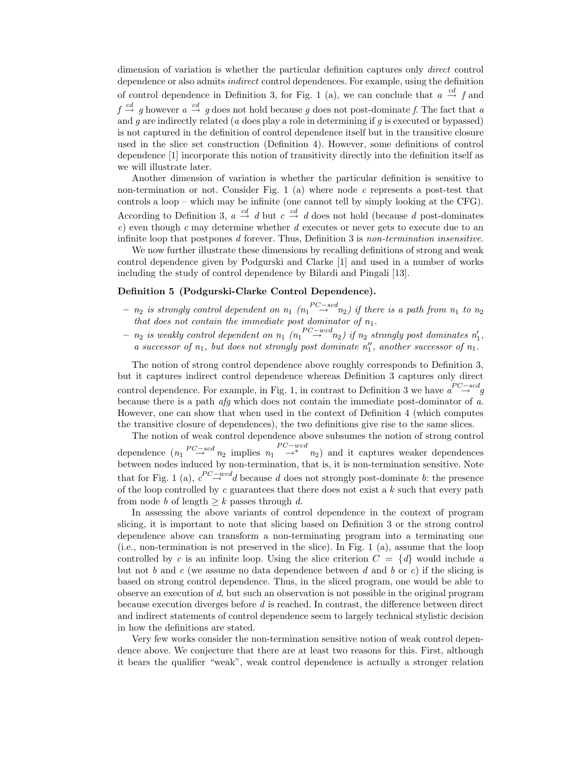dimension of variation is whether the particular definition captures only *direct* control dependence or also admits indirect control dependences. For example, using the definition of control dependence in Definition 3, for Fig. 1 (a), we can conclude that  $a \stackrel{cd}{\rightarrow} f$  and  $f \stackrel{cd}{\rightarrow} g$  however  $a \stackrel{cd}{\rightarrow} g$  does not hold because g does not post-dominate f. The fact that a and  $g$  are indirectly related ( $a$  does play a role in determining if  $g$  is executed or bypassed) is not captured in the definition of control dependence itself but in the transitive closure used in the slice set construction (Definition 4). However, some definitions of control dependence [1] incorporate this notion of transitivity directly into the definition itself as we will illustrate later.

Another dimension of variation is whether the particular definition is sensitive to non-termination or not. Consider Fig. 1 (a) where node  $c$  represents a post-test that controls a loop – which may be infinite (one cannot tell by simply looking at the CFG). According to Definition 3,  $a \stackrel{cd}{\rightarrow} d$  but  $c \stackrel{cd}{\rightarrow} d$  does not hold (because d post-dominates  $c$ ) even though  $c$  may determine whether  $d$  executes or never gets to execute due to an infinite loop that postpones d forever. Thus, Definition 3 is non-termination insensitive.

We now further illustrate these dimensions by recalling definitions of strong and weak control dependence given by Podgurski and Clarke [1] and used in a number of works including the study of control dependence by Bilardi and Pingali [13].

#### Definition 5 (Podgurski-Clarke Control Dependence).

- $n_2$  is strongly control dependent on  $n_1$   $(n_1 \overset{PC-scd}{\rightarrow} n_2)$  if there is a path from  $n_1$  to  $n_2$ that does not contain the immediate post dominator of  $n_1$ .
- $-$  n<sub>2</sub> is weakly control dependent on  $n_1$   $(n_1 \overset{PC-wcd}{\rightarrow} n_2)$  if  $n_2$  strongly post dominates  $n'_1$ , a successor of  $n_1$ , but does not strongly post dominate  $n''_1$ , another successor of  $n_1$ .

The notion of strong control dependence above roughly corresponds to Definition 3, but it captures indirect control dependence whereas Definition 3 captures only direct control dependence. For example, in Fig. 1, in contrast to Definition 3 we have  $a \stackrel{PC-scd}{\rightarrow} g$ because there is a path afg which does not contain the immediate post-dominator of a. However, one can show that when used in the context of Definition 4 (which computes the transitive closure of dependences), the two definitions give rise to the same slices.

The notion of weak control dependence above subsumes the notion of strong control dependence  $(n_1 \stackrel{PC-scd}{\rightarrow} n_2$  implies  $n_1 \stackrel{\rightarrow^*}{\rightarrow} n_2)$  and it captures weaker dependences between nodes induced by non-termination, that is, it is non-termination sensitive. Note that for Fig. 1 (a),  $c^{PC-wcd}$  because d does not strongly post-dominate b: the presence of the loop controlled by c guarantees that there does not exist a  $k$  such that every path from node b of length  $\geq k$  passes through d.

In assessing the above variants of control dependence in the context of program slicing, it is important to note that slicing based on Definition 3 or the strong control dependence above can transform a non-terminating program into a terminating one (i.e., non-termination is not preserved in the slice). In Fig. 1 (a), assume that the loop controlled by c is an infinite loop. Using the slice criterion  $C = \{d\}$  would include a but not b and c (we assume no data dependence between d and b or c) if the slicing is based on strong control dependence. Thus, in the sliced program, one would be able to observe an execution of d, but such an observation is not possible in the original program because execution diverges before d is reached. In contrast, the difference between direct and indirect statements of control dependence seem to largely technical stylistic decision in how the definitions are stated.

Very few works consider the non-termination sensitive notion of weak control dependence above. We conjecture that there are at least two reasons for this. First, although it bears the qualifier "weak", weak control dependence is actually a stronger relation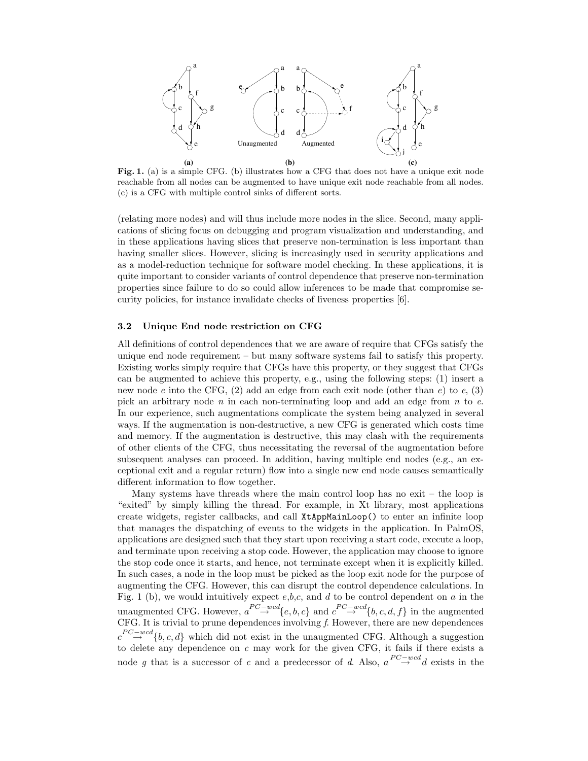

Fig. 1. (a) is a simple CFG. (b) illustrates how a CFG that does not have a unique exit node reachable from all nodes can be augmented to have unique exit node reachable from all nodes. (c) is a CFG with multiple control sinks of different sorts.

(relating more nodes) and will thus include more nodes in the slice. Second, many applications of slicing focus on debugging and program visualization and understanding, and in these applications having slices that preserve non-termination is less important than having smaller slices. However, slicing is increasingly used in security applications and as a model-reduction technique for software model checking. In these applications, it is quite important to consider variants of control dependence that preserve non-termination properties since failure to do so could allow inferences to be made that compromise security policies, for instance invalidate checks of liveness properties [6].

### 3.2 Unique End node restriction on CFG

All definitions of control dependences that we are aware of require that CFGs satisfy the unique end node requirement – but many software systems fail to satisfy this property. Existing works simply require that CFGs have this property, or they suggest that CFGs can be augmented to achieve this property, e.g., using the following steps: (1) insert a new node e into the CFG, (2) add an edge from each exit node (other than  $e$ ) to  $e$ , (3) pick an arbitrary node  $n$  in each non-terminating loop and add an edge from  $n$  to  $e$ . In our experience, such augmentations complicate the system being analyzed in several ways. If the augmentation is non-destructive, a new CFG is generated which costs time and memory. If the augmentation is destructive, this may clash with the requirements of other clients of the CFG, thus necessitating the reversal of the augmentation before subsequent analyses can proceed. In addition, having multiple end nodes (e.g., an exceptional exit and a regular return) flow into a single new end node causes semantically different information to flow together.

Many systems have threads where the main control loop has no exit – the loop is "exited" by simply killing the thread. For example, in Xt library, most applications create widgets, register callbacks, and call XtAppMainLoop() to enter an infinite loop that manages the dispatching of events to the widgets in the application. In PalmOS, applications are designed such that they start upon receiving a start code, execute a loop, and terminate upon receiving a stop code. However, the application may choose to ignore the stop code once it starts, and hence, not terminate except when it is explicitly killed. In such cases, a node in the loop must be picked as the loop exit node for the purpose of augmenting the CFG. However, this can disrupt the control dependence calculations. In Fig. 1 (b), we would intuitively expect  $e,b,c$ , and d to be control dependent on a in the unaugmented CFG. However,  $a \stackrel{PC-wcd}{\rightarrow} \{e, b, c\}$  and  $c \stackrel{PC-wcd}{\rightarrow} \{b, c, d, f\}$  in the augmented CFG. It is trivial to prune dependences involving  $f$ . However, there are new dependences  $c \stackrel{PC-wcd}{\rightarrow} \{b, c, d\}$  which did not exist in the unaugmented CFG. Although a suggestion to delete any dependence on  $c$  may work for the given CFG, it fails if there exists a node g that is a successor of c and a predecessor of d. Also,  $a^{PC - wcd}d$  exists in the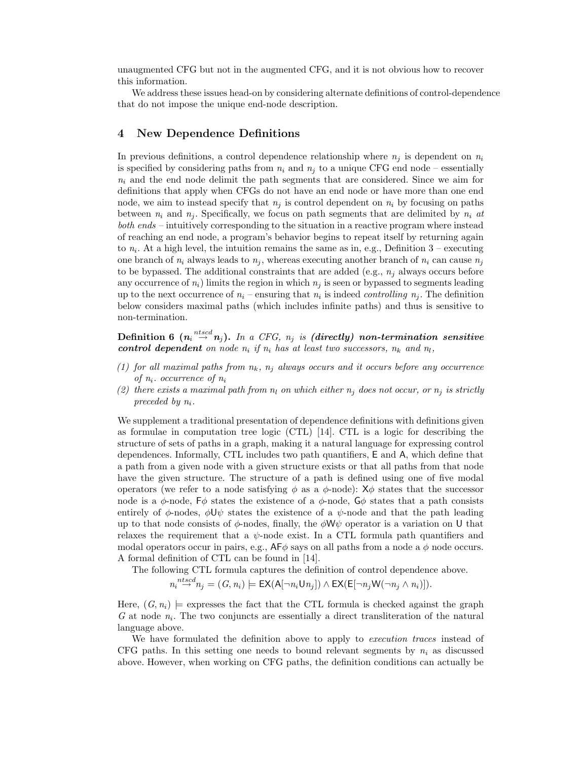unaugmented CFG but not in the augmented CFG, and it is not obvious how to recover this information.

We address these issues head-on by considering alternate definitions of control-dependence that do not impose the unique end-node description.

# 4 New Dependence Definitions

In previous definitions, a control dependence relationship where  $n_i$  is dependent on  $n_i$ is specified by considering paths from  $n_i$  and  $n_j$  to a unique CFG end node – essentially  $n_i$  and the end node delimit the path segments that are considered. Since we aim for definitions that apply when CFGs do not have an end node or have more than one end node, we aim to instead specify that  $n_i$  is control dependent on  $n_i$  by focusing on paths between  $n_i$  and  $n_j$ . Specifically, we focus on path segments that are delimited by  $n_i$  at both ends – intuitively corresponding to the situation in a reactive program where instead of reaching an end node, a program's behavior begins to repeat itself by returning again to  $n_i$ . At a high level, the intuition remains the same as in, e.g., Definition 3 – executing one branch of  $n_i$  always leads to  $n_j$ , whereas executing another branch of  $n_i$  can cause  $n_j$ to be bypassed. The additional constraints that are added (e.g.,  $n_j$  always occurs before any occurrence of  $n_i$ ) limits the region in which  $n_j$  is seen or bypassed to segments leading up to the next occurrence of  $n_i$  – ensuring that  $n_i$  is indeed *controlling*  $n_j$ . The definition below considers maximal paths (which includes infinite paths) and thus is sensitive to non-termination.

 ${\rm Definition} \,\, 6 \,\, (n_i \stackrel{ntscd}{\rightarrow} n_j).$  In a CFG,  $n_j$  is (directly) non-termination sensitive control dependent on node  $n_i$  if  $n_i$  has at least two successors,  $n_k$  and  $n_l$ ,

- (1) for all maximal paths from  $n_k$ ,  $n_j$  always occurs and it occurs before any occurrence of  $n_i$ . occurrence of  $n_i$
- (2) there exists a maximal path from  $n_l$  on which either  $n_j$  does not occur, or  $n_j$  is strictly preceded by  $n_i$ .

We supplement a traditional presentation of dependence definitions with definitions given as formulae in computation tree logic (CTL) [14]. CTL is a logic for describing the structure of sets of paths in a graph, making it a natural language for expressing control dependences. Informally, CTL includes two path quantifiers, E and A, which define that a path from a given node with a given structure exists or that all paths from that node have the given structure. The structure of a path is defined using one of five modal operators (we refer to a node satisfying  $\phi$  as a  $\phi$ -node):  $X\phi$  states that the successor node is a  $\phi$ -node,  $\overline{\varepsilon}\phi$  states the existence of a  $\phi$ -node,  $\overline{\varepsilon}\phi$  states that a path consists entirely of  $\phi$ -nodes,  $\phi \mathsf{U} \psi$  states the existence of a  $\psi$ -node and that the path leading up to that node consists of  $\phi$ -nodes, finally, the  $\phi \mathsf{W} \psi$  operator is a variation on U that relaxes the requirement that a  $\psi$ -node exist. In a CTL formula path quantifiers and modal operators occur in pairs, e.g.,  $\mathsf{AF}\phi$  says on all paths from a node a  $\phi$  node occurs. A formal definition of CTL can be found in [14].

The following CTL formula captures the definition of control dependence above.

$$
n_i \stackrel{ntscd}{\rightarrow} n_j = (G, n_i) \models \mathsf{EX}(A[\neg n_i \mathsf{U} n_j]) \land \mathsf{EX}(\mathsf{E}[\neg n_j \mathsf{W}(\neg n_j \land n_i)]).
$$

Here,  $(G, n_i)$  = expresses the fact that the CTL formula is checked against the graph  $G$  at node  $n_i$ . The two conjuncts are essentially a direct transliteration of the natural language above.

We have formulated the definition above to apply to *execution traces* instead of CFG paths. In this setting one needs to bound relevant segments by  $n_i$  as discussed above. However, when working on CFG paths, the definition conditions can actually be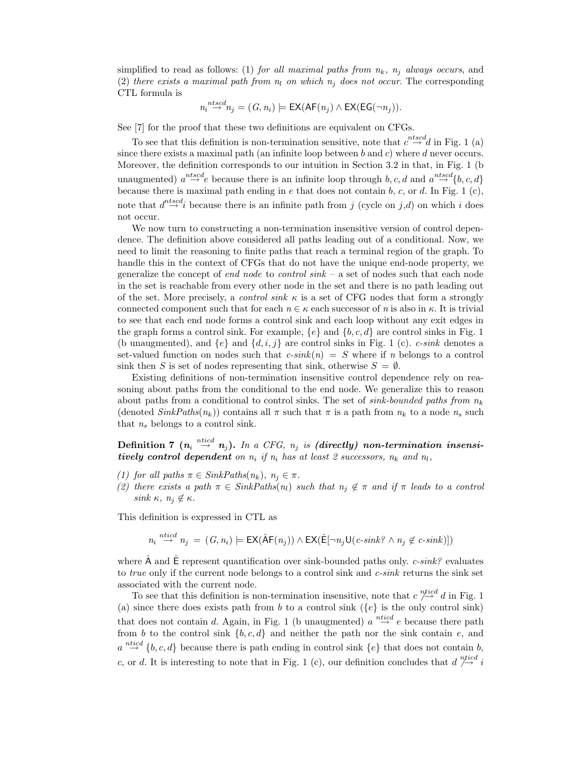simplified to read as follows: (1) for all maximal paths from  $n_k$ ,  $n_j$  always occurs, and (2) there exists a maximal path from  $n_l$  on which  $n_i$  does not occur. The corresponding CTL formula is

$$
n_i \stackrel{ntscd}{\rightarrow} n_j = (G, n_i) \models \mathsf{EX}(\mathsf{AF}(n_j) \land \mathsf{EX}(\mathsf{EG}(\neg n_j)).
$$

See [7] for the proof that these two definitions are equivalent on CFGs.

To see that this definition is non-termination sensitive, note that  $c \stackrel{ntscd}{\rightarrow} d$  in Fig. 1 (a) since there exists a maximal path (an infinite loop between b and c) where d never occurs. Moreover, the definition corresponds to our intuition in Section 3.2 in that, in Fig. 1 (b unaugmented)  $a^{ntscd}$  because there is an infinite loop through  $b, c, d$  and  $a^{ntscd}$  {b, c, d} because there is maximal path ending in e that does not contain b, c, or d. In Fig. 1 (c), note that  $d \stackrel{ntscd}{\rightarrow} i$  because there is an infinite path from j (cycle on j,d) on which i does not occur.

We now turn to constructing a non-termination insensitive version of control dependence. The definition above considered all paths leading out of a conditional. Now, we need to limit the reasoning to finite paths that reach a terminal region of the graph. To handle this in the context of CFGs that do not have the unique end-node property, we generalize the concept of end node to control  $sink - a$  set of nodes such that each node in the set is reachable from every other node in the set and there is no path leading out of the set. More precisely, a *control sink*  $\kappa$  is a set of CFG nodes that form a strongly connected component such that for each  $n \in \kappa$  each successor of n is also in  $\kappa$ . It is trivial to see that each end node forms a control sink and each loop without any exit edges in the graph forms a control sink. For example,  $\{e\}$  and  $\{b, c, d\}$  are control sinks in Fig. 1 (b unaugmented), and  $\{e\}$  and  $\{d, i, j\}$  are control sinks in Fig. 1 (c). *c-sink* denotes a set-valued function on nodes such that  $c\text{-}sink(n) = S$  where if n belongs to a control sink then S is set of nodes representing that sink, otherwise  $S = \emptyset$ .

Existing definitions of non-termination insensitive control dependence rely on reasoning about paths from the conditional to the end node. We generalize this to reason about paths from a conditional to control sinks. The set of sink-bounded paths from  $n_k$ (denoted  $SinkPaths(n_k)$ ) contains all  $\pi$  such that  $\pi$  is a path from  $n_k$  to a node  $n_s$  such that  $n_s$  belongs to a control sink.

Definition 7  $(n_i \stackrel{ntied}{\rightarrow} n_j).$  In a CFG,  $n_j$  is (directly) non-termination insensitively control dependent on  $n_i$  if  $n_i$  has at least 2 successors,  $n_k$  and  $n_l$ ,

- (1) for all paths  $\pi \in \text{SinkPaths}(n_k)$ ,  $n_j \in \pi$ .
- (2) there exists a path  $\pi \in \text{SinkPaths}(n_l)$  such that  $n_j \notin \pi$  and if  $\pi$  leads to a control sink  $\kappa$ ,  $n_i \notin \kappa$ .

This definition is expressed in CTL as

$$
n_i \stackrel{ntied}{\rightarrow} n_j = (G, n_i) \models \text{EX}(\hat{\text{AF}}(n_j)) \land \text{EX}(\hat{\text{E}}[\neg n_j \text{U}(c\text{-}sink? \land n_j \notin c\text{-}sink)])
$$

where  $\hat{A}$  and  $\hat{E}$  represent quantification over sink-bounded paths only. *c-sink?* evaluates to *true* only if the current node belongs to a control sink and  $c$ -sink returns the sink set associated with the current node.

To see that this definition is non-termination insensitive, note that  $c \stackrel{ntied}{\rightarrow} d$  in Fig. 1 (a) since there does exists path from b to a control sink ( $\{e\}$  is the only control sink) that does not contain d. Again, in Fig. 1 (b unaugmented)  $a \stackrel{ntied}{\rightarrow} e$  because there path from b to the control sink  $\{b, c, d\}$  and neither the path nor the sink contain e, and  $a \stackrel{ntied}{\rightarrow} \{b, c, d\}$  because there is path ending in control sink  $\{e\}$  that does not contain b, c, or d. It is interesting to note that in Fig. 1 (c), our definition concludes that  $d \stackrel{ntied}{\rightarrow} i$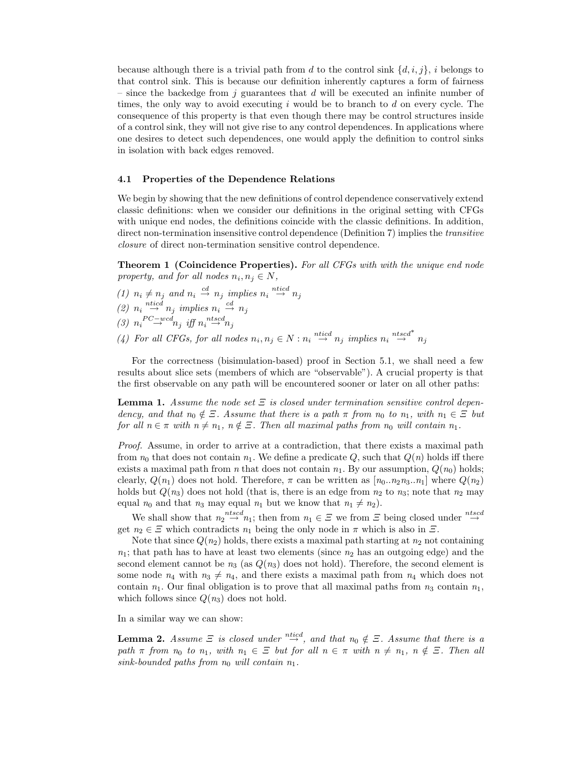because although there is a trivial path from d to the control sink  $\{d, i, j\}$ , i belongs to that control sink. This is because our definition inherently captures a form of fairness – since the backedge from j guarantees that  $d$  will be executed an infinite number of times, the only way to avoid executing  $i$  would be to branch to  $d$  on every cycle. The consequence of this property is that even though there may be control structures inside of a control sink, they will not give rise to any control dependences. In applications where one desires to detect such dependences, one would apply the definition to control sinks in isolation with back edges removed.

### 4.1 Properties of the Dependence Relations

We begin by showing that the new definitions of control dependence conservatively extend classic definitions: when we consider our definitions in the original setting with CFGs with unique end nodes, the definitions coincide with the classic definitions. In addition, direct non-termination insensitive control dependence (Definition 7) implies the *transitive* closure of direct non-termination sensitive control dependence.

**Theorem 1 (Coincidence Properties).** For all CFGs with with the unique end node property, and for all nodes  $n_i, n_j \in N$ ,

(1)  $n_i \neq n_j$  and  $n_i \stackrel{cd}{\rightarrow} n_j$  implies  $n_i \stackrel{ntied}{\rightarrow} n_j$ (2)  $n_i \stackrel{ntied}{\rightarrow} n_j$  implies  $n_i \stackrel{cd}{\rightarrow} n_j$ (3)  $n_i \stackrel{PC-wcd}{\rightarrow} n_j$  iff  $n_i \stackrel{ntscd}{\rightarrow} n_j$ (4) For all CFGs, for all nodes  $n_i, n_j \in N : n_i \stackrel{nticd}{\rightarrow} n_j$  implies  $n_i \stackrel{ntscd^*}{\rightarrow}$  $n_j$ 

For the correctness (bisimulation-based) proof in Section 5.1, we shall need a few results about slice sets (members of which are "observable"). A crucial property is that the first observable on any path will be encountered sooner or later on all other paths:

**Lemma 1.** Assume the node set  $\Xi$  is closed under termination sensitive control dependency, and that  $n_0 \notin \Xi$ . Assume that there is a path  $\pi$  from  $n_0$  to  $n_1$ , with  $n_1 \in \Xi$  but for all  $n \in \pi$  with  $n \neq n_1$ ,  $n \notin \Xi$ . Then all maximal paths from  $n_0$  will contain  $n_1$ .

Proof. Assume, in order to arrive at a contradiction, that there exists a maximal path from  $n_0$  that does not contain  $n_1$ . We define a predicate Q, such that  $Q(n)$  holds iff there exists a maximal path from *n* that does not contain  $n_1$ . By our assumption,  $Q(n_0)$  holds; clearly,  $Q(n_1)$  does not hold. Therefore,  $\pi$  can be written as  $[n_0..n_2n_3..n_1]$  where  $Q(n_2)$ holds but  $Q(n_3)$  does not hold (that is, there is an edge from  $n_2$  to  $n_3$ ; note that  $n_2$  may equal  $n_0$  and that  $n_3$  may equal  $n_1$  but we know that  $n_1 \neq n_2$ ).

We shall show that  $n_2 \stackrel{ntscd}{\rightarrow} n_1$ ; then from  $n_1 \in \Xi$  we from  $\Xi$  being closed under  $\stackrel{ntscd}{\rightarrow}$ get  $n_2 \in \mathcal{Z}$  which contradicts  $n_1$  being the only node in  $\pi$  which is also in  $\mathcal{Z}$ .

Note that since  $Q(n_2)$  holds, there exists a maximal path starting at  $n_2$  not containing  $n_1$ ; that path has to have at least two elements (since  $n_2$  has an outgoing edge) and the second element cannot be  $n_3$  (as  $Q(n_3)$  does not hold). Therefore, the second element is some node  $n_4$  with  $n_3 \neq n_4$ , and there exists a maximal path from  $n_4$  which does not contain  $n_1$ . Our final obligation is to prove that all maximal paths from  $n_3$  contain  $n_1$ , which follows since  $Q(n_3)$  does not hold.

In a similar way we can show:

**Lemma 2.** Assume  $\Xi$  is closed under  $\stackrel{ntied}{\rightarrow}$ , and that  $n_0 \notin \Xi$ . Assume that there is a path  $\pi$  from  $n_0$  to  $n_1$ , with  $n_1 \in \Xi$  but for all  $n \in \pi$  with  $n \neq n_1$ ,  $n \notin \Xi$ . Then all sink-bounded paths from  $n_0$  will contain  $n_1$ .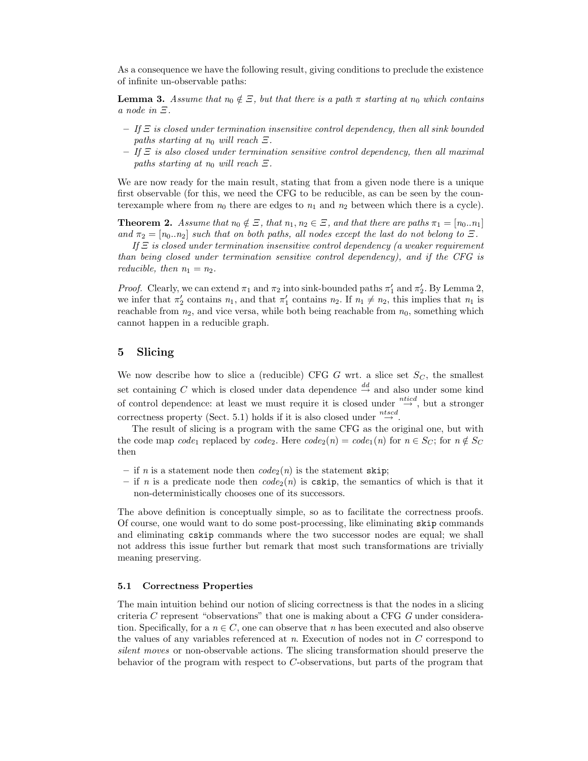As a consequence we have the following result, giving conditions to preclude the existence of infinite un-observable paths:

**Lemma 3.** Assume that  $n_0 \notin \Xi$ , but that there is a path  $\pi$  starting at  $n_0$  which contains a node in Ξ.

- $-$  If  $\Xi$  is closed under termination insensitive control dependency, then all sink bounded paths starting at  $n_0$  will reach  $\Xi$ .
- $-$  If  $\Xi$  is also closed under termination sensitive control dependency, then all maximal paths starting at  $n_0$  will reach  $\Xi$ .

We are now ready for the main result, stating that from a given node there is a unique first observable (for this, we need the CFG to be reducible, as can be seen by the counterexample where from  $n_0$  there are edges to  $n_1$  and  $n_2$  between which there is a cycle).

**Theorem 2.** Assume that  $n_0 \notin \Xi$ , that  $n_1, n_2 \in \Xi$ , and that there are paths  $\pi_1 = [n_0..n_1]$ and  $\pi_2 = [n_0..n_2]$  such that on both paths, all nodes except the last do not belong to  $\Xi$ .

If  $\Xi$  is closed under termination insensitive control dependency (a weaker requirement than being closed under termination sensitive control dependency), and if the CFG is reducible, then  $n_1 = n_2$ .

*Proof.* Clearly, we can extend  $\pi_1$  and  $\pi_2$  into sink-bounded paths  $\pi'_1$  and  $\pi'_2$ . By Lemma 2, we infer that  $\pi'_2$  contains  $n_1$ , and that  $\pi'_1$  contains  $n_2$ . If  $n_1 \neq n_2$ , this implies that  $n_1$  is reachable from  $n_2$ , and vice versa, while both being reachable from  $n_0$ , something which cannot happen in a reducible graph.

## 5 Slicing

We now describe how to slice a (reducible) CFG G wrt. a slice set  $S_C$ , the smallest set containing C which is closed under data dependence  $\stackrel{dd}{\rightarrow}$  and also under some kind of control dependence: at least we must require it is closed under  $\stackrel{ntied}{\rightarrow}$ , but a stronger correctness property (Sect. 5.1) holds if it is also closed under  $\stackrel{ntscd}{\rightarrow}$ .

The result of slicing is a program with the same CFG as the original one, but with the code map code<sub>1</sub> replaced by code<sub>2</sub>. Here  $code_2(n) = code_1(n)$  for  $n \in S_C$ ; for  $n \notin S_C$ then

- if n is a statement node then  $code_2(n)$  is the statement skip;
- if n is a predicate node then  $code_2(n)$  is cskip, the semantics of which is that it non-deterministically chooses one of its successors.

The above definition is conceptually simple, so as to facilitate the correctness proofs. Of course, one would want to do some post-processing, like eliminating skip commands and eliminating cskip commands where the two successor nodes are equal; we shall not address this issue further but remark that most such transformations are trivially meaning preserving.

### 5.1 Correctness Properties

The main intuition behind our notion of slicing correctness is that the nodes in a slicing criteria C represent "observations" that one is making about a CFG G under consideration. Specifically, for a  $n \in C$ , one can observe that n has been executed and also observe the values of any variables referenced at  $n$ . Execution of nodes not in  $C$  correspond to silent moves or non-observable actions. The slicing transformation should preserve the behavior of the program with respect to C-observations, but parts of the program that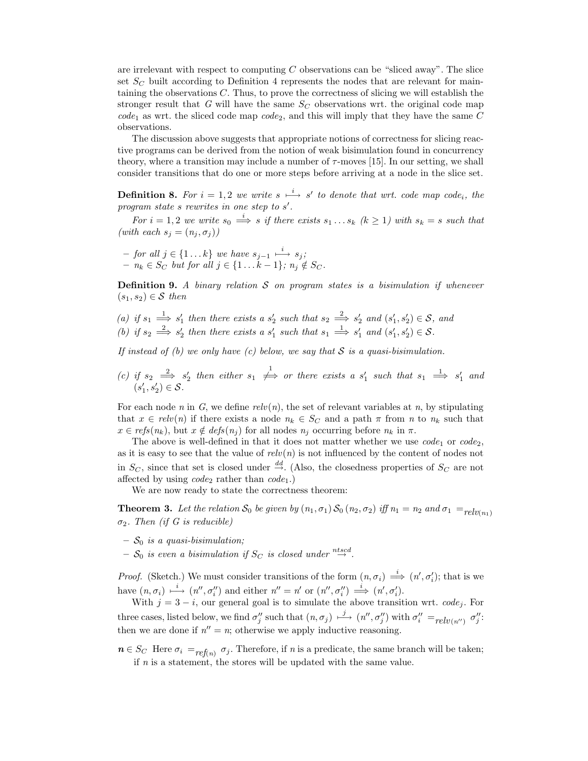are irrelevant with respect to computing  $C$  observations can be "sliced away". The slice set  $S_C$  built according to Definition 4 represents the nodes that are relevant for maintaining the observations C. Thus, to prove the correctness of slicing we will establish the stronger result that G will have the same  $S_C$  observations wrt. the original code map  $code_1$  as wrt. the sliced code map  $code_2$ , and this will imply that they have the same C observations.

The discussion above suggests that appropriate notions of correctness for slicing reactive programs can be derived from the notion of weak bisimulation found in concurrency theory, where a transition may include a number of  $\tau$ -moves [15]. In our setting, we shall consider transitions that do one or more steps before arriving at a node in the slice set.

**Definition 8.** For  $i = 1, 2$  we write  $s \stackrel{i}{\longmapsto} s'$  to denote that wrt. code map code<sub>i</sub>, the program state  $s$  rewrites in one step to  $s'$ .

For  $i = 1, 2$  we write  $s_0 \stackrel{i}{\Longrightarrow} s$  if there exists  $s_1 \dots s_k$   $(k \geq 1)$  with  $s_k = s$  such that (with each  $s_i = (n_i, \sigma_i)$ )

 $-$  for all  $j \in \{1 \dots k\}$  we have  $s_{j-1} \stackrel{i}{\longmapsto} s_j;$  $- n_k \in S_C$  but for all  $j \in \{1 \dots k-1\}$ ;  $n_j \notin S_C$ .

**Definition 9.** A binary relation  $S$  on program states is a bisimulation if whenever  $(s_1, s_2) \in \mathcal{S}$  then

(a) if  $s_1 \stackrel{1}{\implies} s'_1$  then there exists a  $s'_2$  such that  $s_2 \stackrel{2}{\implies} s'_2$  and  $(s'_1, s'_2) \in S$ , and (b) if  $s_2 \stackrel{2}{\Longrightarrow} s'_2$  then there exists a  $s'_1$  such that  $s_1 \stackrel{1}{\Longrightarrow} s'_1$  and  $(s'_1, s'_2) \in S$ .

If instead of (b) we only have (c) below, we say that  $S$  is a quasi-bisimulation.

(c) if  $s_2 \stackrel{2}{\implies} s'_2$  then either  $s_1 \not\implies$  or there exists a  $s'_1$  such that  $s_1 \stackrel{1}{\implies} s'_1$  and  $(s'_1, s'_2) \in \mathcal{S}$ .

For each node n in G, we define  $relv(n)$ , the set of relevant variables at n, by stipulating that  $x \in relv(n)$  if there exists a node  $n_k \in S_C$  and a path  $\pi$  from n to  $n_k$  such that  $x \in \text{refs}(n_k)$ , but  $x \notin \text{defs}(n_j)$  for all nodes  $n_j$  occurring before  $n_k$  in  $\pi$ .

The above is well-defined in that it does not matter whether we use  $code_1$  or  $code_2$ , as it is easy to see that the value of  $relv(n)$  is not influenced by the content of nodes not in  $S_C$ , since that set is closed under  $\stackrel{dd}{\rightarrow}$ . (Also, the closedness properties of  $S_C$  are not affected by using  $code_2$  rather than  $code_1$ .)

We are now ready to state the correctness theorem:

**Theorem 3.** Let the relation  $S_0$  be given by  $(n_1, \sigma_1) S_0 (n_2, \sigma_2)$  iff  $n_1 = n_2$  and  $\sigma_1 =_{relv(n_1)}$  $\sigma_2$ . Then (if G is reducible)

- $S_0$  is a quasi-bisimulation;
- $-\mathcal{S}_0$  is even a bisimulation if  $S_C$  is closed under  $\stackrel{ntscd}{\rightarrow}$ .

*Proof.* (Sketch.) We must consider transitions of the form  $(n, \sigma_i) \stackrel{i}{\implies} (n', \sigma'_i)$ ; that is we have  $(n, \sigma_i) \mapsto (n'', \sigma_i'')$  and either  $n'' = n'$  or  $(n'', \sigma_i'') \Longrightarrow (n', \sigma_i')$ .

With  $j = 3 - i$ , our general goal is to simulate the above transition wrt. *code<sub>j</sub>*. For three cases, listed below, we find  $\sigma''_j$  such that  $(n, \sigma_j) \mapsto (n'', \sigma''_j)$  with  $\sigma''_i =_{relv(n'')} \sigma''_j$ : then we are done if  $n'' = n$ ; otherwise we apply inductive reasoning.

 $n \in S_C$  Here  $\sigma_i =_{ref(n)} \sigma_j$ . Therefore, if n is a predicate, the same branch will be taken; if n is a statement, the stores will be updated with the same value.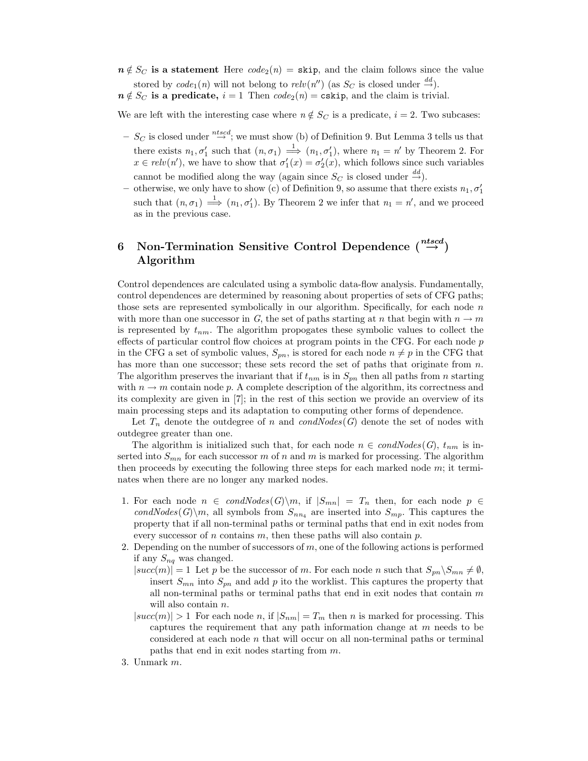$n \notin S_C$  is a statement Here  $code_2(n) =$  skip, and the claim follows since the value stored by  $code_1(n)$  will not belong to  $relu(n'')$  (as  $S_C$  is closed under  $\stackrel{dd}{\rightarrow}$ ).

 $n \notin S_C$  is a predicate,  $i = 1$  Then  $code_2(n) = \text{cskip}$ , and the claim is trivial.

We are left with the interesting case where  $n \notin S_C$  is a predicate,  $i = 2$ . Two subcases:

- $-S_C$  is closed under  $\stackrel{ntscd}{\rightarrow}$ ; we must show (b) of Definition 9. But Lemma 3 tells us that there exists  $n_1, \sigma'_1$  such that  $(n, \sigma_1) \stackrel{1}{\implies} (n_1, \sigma'_1)$ , where  $n_1 = n'$  by Theorem 2. For  $x \in relv(n')$ , we have to show that  $\sigma'_1(x) = \sigma'_2(x)$ , which follows since such variables cannot be modified along the way (again since  $S_C$  is closed under  $\stackrel{dd}{\rightarrow}$ ).
- otherwise, we only have to show (c) of Definition 9, so assume that there exists  $n_1, \sigma'_1$ such that  $(n, \sigma_1) \stackrel{1}{\Longrightarrow} (n_1, \sigma_1')$ . By Theorem 2 we infer that  $n_1 = n'$ , and we proceed as in the previous case.

# 6 Non-Termination Sensitive Control Dependence  $\binom{n t s c d}{\rightarrow}$ Algorithm

Control dependences are calculated using a symbolic data-flow analysis. Fundamentally, control dependences are determined by reasoning about properties of sets of CFG paths; those sets are represented symbolically in our algorithm. Specifically, for each node  $n$ with more than one successor in G, the set of paths starting at n that begin with  $n \to m$ is represented by  $t_{nm}$ . The algorithm propogates these symbolic values to collect the effects of particular control flow choices at program points in the CFG. For each node  $p$ in the CFG a set of symbolic values,  $S_{pn}$ , is stored for each node  $n \neq p$  in the CFG that has more than one successor; these sets record the set of paths that originate from  $n$ . The algorithm preserves the invariant that if  $t_{nm}$  is in  $S_{pn}$  then all paths from n starting with  $n \to m$  contain node p. A complete description of the algorithm, its correctness and its complexity are given in [7]; in the rest of this section we provide an overview of its main processing steps and its adaptation to computing other forms of dependence.

Let  $T_n$  denote the outdegree of n and condNodes(G) denote the set of nodes with outdegree greater than one.

The algorithm is initialized such that, for each node  $n \in condNodes(G), t_{nm}$  is inserted into  $S_{mn}$  for each successor m of n and m is marked for processing. The algorithm then proceeds by executing the following three steps for each marked node m; it terminates when there are no longer any marked nodes.

- 1. For each node  $n \in \text{condNodes}(G) \backslash m$ , if  $|S_{mn}| = T_n$  then, for each node  $p \in$ condNodes(G)\m, all symbols from  $S_{nn_4}$  are inserted into  $S_{mp}$ . This captures the property that if all non-terminal paths or terminal paths that end in exit nodes from every successor of n contains m, then these paths will also contain  $p$ .
- 2. Depending on the number of successors of  $m$ , one of the following actions is performed if any  $S_{nq}$  was changed.
	- $|succ(m)| = 1$  Let p be the successor of m. For each node n such that  $S_{pn} \setminus S_{mn} \neq \emptyset$ , insert  $S_{mn}$  into  $S_{pn}$  and add p ito the worklist. This captures the property that all non-terminal paths or terminal paths that end in exit nodes that contain  $m$ will also contain *n*.
	- $|succ(m)| > 1$  For each node n, if  $|S_{nm}| = T_m$  then n is marked for processing. This captures the requirement that any path information change at  $m$  needs to be considered at each node  $n$  that will occur on all non-terminal paths or terminal paths that end in exit nodes starting from m.
- 3. Unmark m.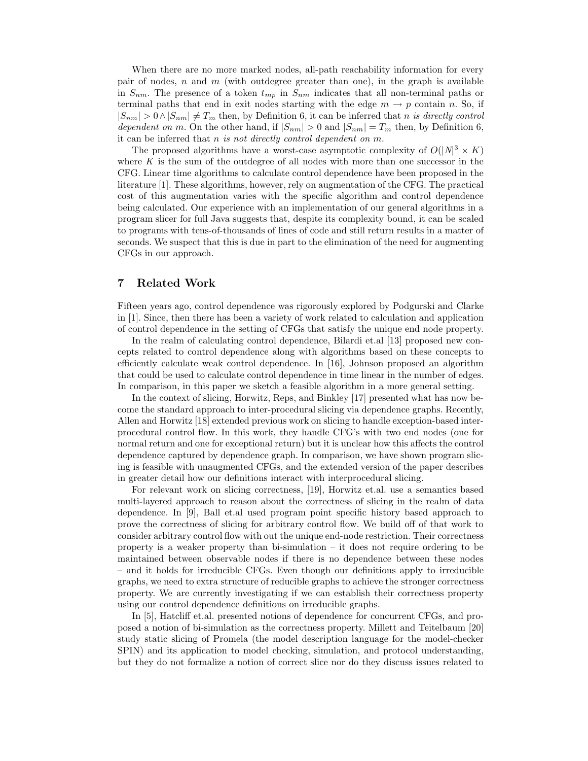When there are no more marked nodes, all-path reachability information for every pair of nodes,  $n$  and  $m$  (with outdegree greater than one), in the graph is available in  $S_{nm}$ . The presence of a token  $t_{mp}$  in  $S_{nm}$  indicates that all non-terminal paths or terminal paths that end in exit nodes starting with the edge  $m \to p$  contain n. So, if  $|S_{nm}| > 0 \wedge |S_{nm}| \neq T_m$  then, by Definition 6, it can be inferred that n is directly control dependent on m. On the other hand, if  $|S_{nm}| > 0$  and  $|S_{nm}| = T_m$  then, by Definition 6, it can be inferred that n is not directly control dependent on m.

The proposed algorithms have a worst-case asymptotic complexity of  $O(|N|^3 \times K)$ where  $K$  is the sum of the outdegree of all nodes with more than one successor in the CFG. Linear time algorithms to calculate control dependence have been proposed in the literature [1]. These algorithms, however, rely on augmentation of the CFG. The practical cost of this augmentation varies with the specific algorithm and control dependence being calculated. Our experience with an implementation of our general algorithms in a program slicer for full Java suggests that, despite its complexity bound, it can be scaled to programs with tens-of-thousands of lines of code and still return results in a matter of seconds. We suspect that this is due in part to the elimination of the need for augmenting CFGs in our approach.

## 7 Related Work

Fifteen years ago, control dependence was rigorously explored by Podgurski and Clarke in [1]. Since, then there has been a variety of work related to calculation and application of control dependence in the setting of CFGs that satisfy the unique end node property.

In the realm of calculating control dependence, Bilardi et.al [13] proposed new concepts related to control dependence along with algorithms based on these concepts to efficiently calculate weak control dependence. In [16], Johnson proposed an algorithm that could be used to calculate control dependence in time linear in the number of edges. In comparison, in this paper we sketch a feasible algorithm in a more general setting.

In the context of slicing, Horwitz, Reps, and Binkley [17] presented what has now become the standard approach to inter-procedural slicing via dependence graphs. Recently, Allen and Horwitz [18] extended previous work on slicing to handle exception-based interprocedural control flow. In this work, they handle CFG's with two end nodes (one for normal return and one for exceptional return) but it is unclear how this affects the control dependence captured by dependence graph. In comparison, we have shown program slicing is feasible with unaugmented CFGs, and the extended version of the paper describes in greater detail how our definitions interact with interprocedural slicing.

For relevant work on slicing correctness, [19], Horwitz et.al. use a semantics based multi-layered approach to reason about the correctness of slicing in the realm of data dependence. In [9], Ball et.al used program point specific history based approach to prove the correctness of slicing for arbitrary control flow. We build off of that work to consider arbitrary control flow with out the unique end-node restriction. Their correctness property is a weaker property than bi-simulation – it does not require ordering to be maintained between observable nodes if there is no dependence between these nodes – and it holds for irreducible CFGs. Even though our definitions apply to irreducible graphs, we need to extra structure of reducible graphs to achieve the stronger correctness property. We are currently investigating if we can establish their correctness property using our control dependence definitions on irreducible graphs.

In [5], Hatcliff et.al. presented notions of dependence for concurrent CFGs, and proposed a notion of bi-simulation as the correctness property. Millett and Teitelbaum [20] study static slicing of Promela (the model description language for the model-checker SPIN) and its application to model checking, simulation, and protocol understanding, but they do not formalize a notion of correct slice nor do they discuss issues related to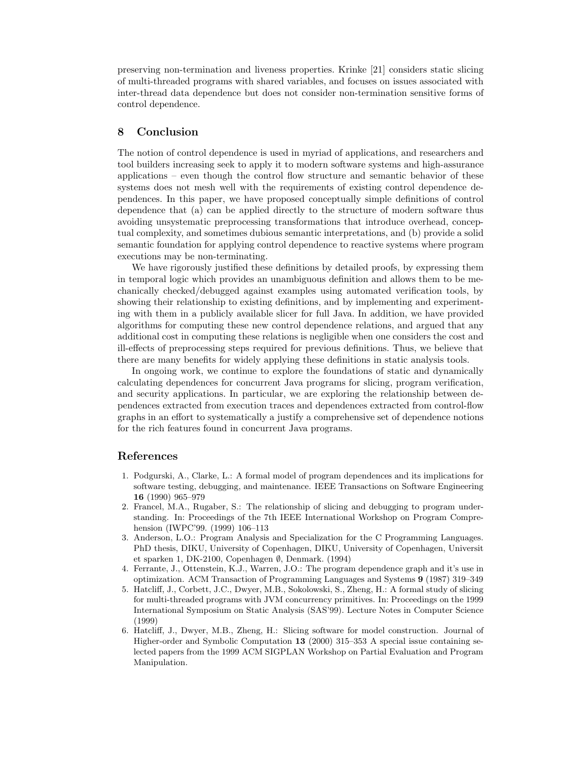preserving non-termination and liveness properties. Krinke [21] considers static slicing of multi-threaded programs with shared variables, and focuses on issues associated with inter-thread data dependence but does not consider non-termination sensitive forms of control dependence.

# 8 Conclusion

The notion of control dependence is used in myriad of applications, and researchers and tool builders increasing seek to apply it to modern software systems and high-assurance applications – even though the control flow structure and semantic behavior of these systems does not mesh well with the requirements of existing control dependence dependences. In this paper, we have proposed conceptually simple definitions of control dependence that (a) can be applied directly to the structure of modern software thus avoiding unsystematic preprocessing transformations that introduce overhead, conceptual complexity, and sometimes dubious semantic interpretations, and (b) provide a solid semantic foundation for applying control dependence to reactive systems where program executions may be non-terminating.

We have rigorously justified these definitions by detailed proofs, by expressing them in temporal logic which provides an unambiguous definition and allows them to be mechanically checked/debugged against examples using automated verification tools, by showing their relationship to existing definitions, and by implementing and experimenting with them in a publicly available slicer for full Java. In addition, we have provided algorithms for computing these new control dependence relations, and argued that any additional cost in computing these relations is negligible when one considers the cost and ill-effects of preprocessing steps required for previous definitions. Thus, we believe that there are many benefits for widely applying these definitions in static analysis tools.

In ongoing work, we continue to explore the foundations of static and dynamically calculating dependences for concurrent Java programs for slicing, program verification, and security applications. In particular, we are exploring the relationship between dependences extracted from execution traces and dependences extracted from control-flow graphs in an effort to systematically a justify a comprehensive set of dependence notions for the rich features found in concurrent Java programs.

## References

- 1. Podgurski, A., Clarke, L.: A formal model of program dependences and its implications for software testing, debugging, and maintenance. IEEE Transactions on Software Engineering 16 (1990) 965–979
- 2. Francel, M.A., Rugaber, S.: The relationship of slicing and debugging to program understanding. In: Proceedings of the 7th IEEE International Workshop on Program Comprehension (IWPC'99. (1999) 106–113
- 3. Anderson, L.O.: Program Analysis and Specialization for the C Programming Languages. PhD thesis, DIKU, University of Copenhagen, DIKU, University of Copenhagen, Universit et sparken 1, DK-2100, Copenhagen ∅, Denmark. (1994)
- 4. Ferrante, J., Ottenstein, K.J., Warren, J.O.: The program dependence graph and it's use in optimization. ACM Transaction of Programming Languages and Systems 9 (1987) 319–349
- 5. Hatcliff, J., Corbett, J.C., Dwyer, M.B., Sokolowski, S., Zheng, H.: A formal study of slicing for multi-threaded programs with JVM concurrency primitives. In: Proceedings on the 1999 International Symposium on Static Analysis (SAS'99). Lecture Notes in Computer Science (1999)
- 6. Hatcliff, J., Dwyer, M.B., Zheng, H.: Slicing software for model construction. Journal of Higher-order and Symbolic Computation 13 (2000) 315–353 A special issue containing selected papers from the 1999 ACM SIGPLAN Workshop on Partial Evaluation and Program Manipulation.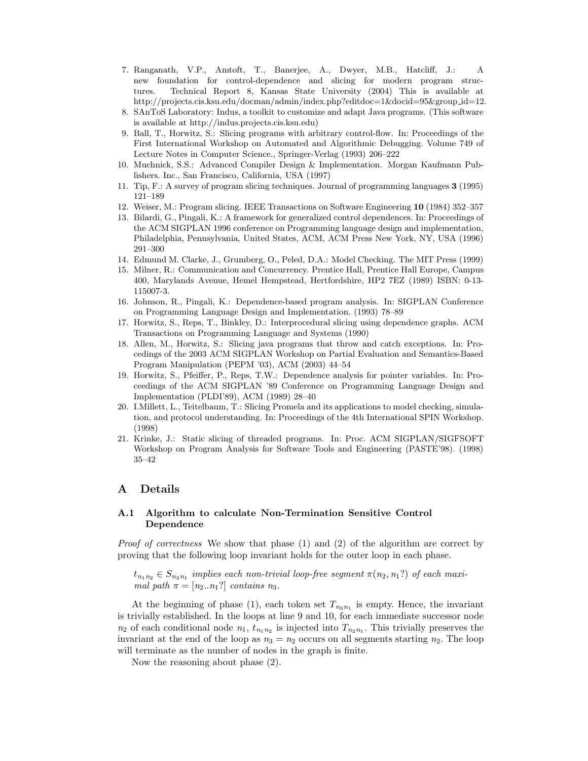- 7. Ranganath, V.P., Amtoft, T., Banerjee, A., Dwyer, M.B., Hatcliff, J.: A new foundation for control-dependence and slicing for modern program structures. Technical Report 8, Kansas State University (2004) This is available at http://projects.cis.ksu.edu/docman/admin/index.php?editdoc=1&docid=95&group id=12.
- 8. SAnToS Laboratory: Indus, a toolkit to customize and adapt Java programs. (This software is available at http://indus.projects.cis.ksu.edu)
- 9. Ball, T., Horwitz, S.: Slicing programs with arbitrary control-flow. In: Proceedings of the First International Workshop on Automated and Algorithmic Debugging. Volume 749 of Lecture Notes in Computer Science., Springer-Verlag (1993) 206–222
- 10. Muchnick, S.S.: Advanced Compiler Design & Implementation. Morgan Kaufmann Publishers. Inc., San Francisco, California, USA (1997)
- 11. Tip, F.: A survey of program slicing techniques. Journal of programming languages 3 (1995) 121–189
- 12. Weiser, M.: Program slicing. IEEE Transactions on Software Engineering 10 (1984) 352–357
- 13. Bilardi, G., Pingali, K.: A framework for generalized control dependences. In: Proceedings of the ACM SIGPLAN 1996 conference on Programming language design and implementation, Philadelphia, Pennsylvania, United States, ACM, ACM Press New York, NY, USA (1996) 291–300
- 14. Edmund M. Clarke, J., Grumberg, O., Peled, D.A.: Model Checking. The MIT Press (1999)
- 15. Milner, R.: Communication and Concurrency. Prentice Hall, Prentice Hall Europe, Campus 400, Marylands Avenue, Hemel Hempstead, Hertfordshire, HP2 7EZ (1989) ISBN: 0-13- 115007-3.
- 16. Johnson, R., Pingali, K.: Dependence-based program analysis. In: SIGPLAN Conference on Programming Language Design and Implementation. (1993) 78–89
- 17. Horwitz, S., Reps, T., Binkley, D.: Interprocedural slicing using dependence graphs. ACM Transactions on Programming Language and Systems (1990)
- 18. Allen, M., Horwitz, S.: Slicing java programs that throw and catch exceptions. In: Procedings of the 2003 ACM SIGPLAN Workshop on Partial Evaluation and Semantics-Based Program Manipulation (PEPM '03), ACM (2003) 44–54
- 19. Horwitz, S., Pfeiffer, P., Reps, T.W.: Dependence analysis for pointer variables. In: Proceedings of the ACM SIGPLAN '89 Conference on Programming Language Design and Implementation (PLDI'89), ACM (1989) 28–40
- 20. I.Millett, L., Teitelbaum, T.: Slicing Promela and its applications to model checking, simulation, and protocol understanding. In: Proceedings of the 4th International SPIN Workshop. (1998)
- 21. Krinke, J.: Static slicing of threaded programs. In: Proc. ACM SIGPLAN/SIGFSOFT Workshop on Program Analysis for Software Tools and Engineering (PASTE'98). (1998) 35–42

## A Details

## A.1 Algorithm to calculate Non-Termination Sensitive Control Dependence

Proof of correctness We show that phase (1) and (2) of the algorithm are correct by proving that the following loop invariant holds for the outer loop in each phase.

 $t_{n_1 n_2} \in S_{n_3 n_1}$  implies each non-trivial loop-free segment  $\pi(n_2, n_1?)$  of each maximal path  $\pi = [n_2..n_1?]$  contains  $n_3$ .

At the beginning of phase (1), each token set  $T_{n_3n_1}$  is empty. Hence, the invariant is trivially established. In the loops at line 9 and 10, for each immediate successor node  $n_2$  of each conditional node  $n_1$ ,  $t_{n_1 n_2}$  is injected into  $T_{n_2 n_1}$ . This trivially preserves the invariant at the end of the loop as  $n_3 = n_2$  occurs on all segments starting  $n_2$ . The loop will terminate as the number of nodes in the graph is finite.

Now the reasoning about phase (2).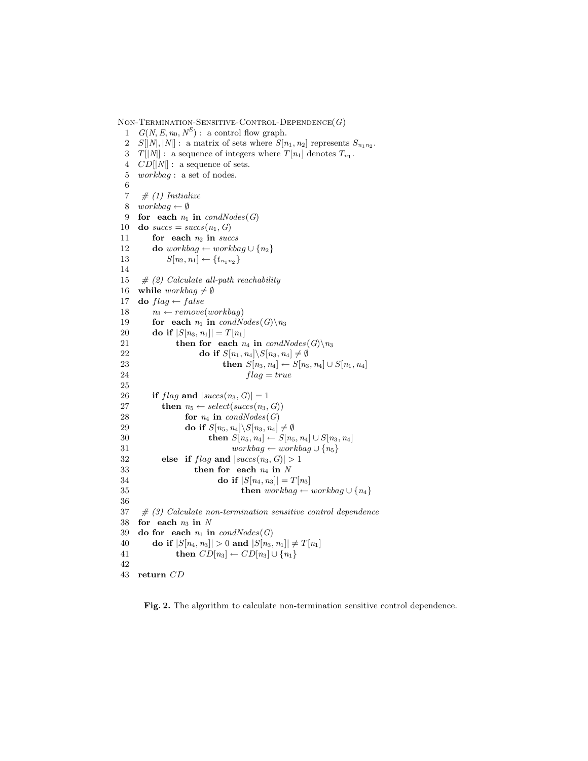NON-TERMINATION-SENSITIVE-CONTROL-DEPENDENCE $(G)$ 

1  $G(N, E, n_0, N^E)$ : a control flow graph. 2  $S[|N|, |N|]$ : a matrix of sets where  $S[n_1, n_2]$  represents  $S_{n_1 n_2}$ . 3  $T[|N]$ : a sequence of integers where  $T[n_1]$  denotes  $T_{n_1}$ . 4  $CD[|N|]$ : a sequence of sets. 5 workbag : a set of nodes. 6 7  $\#$  (1) Initialize 8 workbag  $\leftarrow \emptyset$ 9 for each  $n_1$  in  $condNodes(G)$ 10 do  $success = success(n_1, G)$ 11 for each  $n_2$  in succs 12 **do** workbag ← workbag ∪ {n<sub>2</sub>} 13  $S[n_2, n_1] \leftarrow \{t_{n_1 n_2}\}$ 14 15  $\#$  (2) Calculate all-path reachability 16 while  $workbag \neq \emptyset$ 17 do  $flag \leftarrow false$ 18  $n_3 \leftarrow remove(wordkbag)$ 19 for each  $n_1$  in  $condNodes(G)\n\mid n_3$ 20 **do if**  $|S[n_3, n_1]| = T[n_1]$ 21 then for each  $n_4$  in  $condNodes(G)\n$ 3<br>
22 do if  $S[n_1, n_4]\S[n_3, n_4] \neq \emptyset$ 22 do if  $S[n_1, n_4] \setminus S[n_3, n_4] \neq \emptyset$ <br>
23 then  $S[n_3, n_4] \leftarrow S[n_3]$ 23 **then**  $S[n_3, n_4] \leftarrow S[n_3, n_4] \cup S[n_1, n_4]$ <br>  $24$  $flag = true$ 25 26 if  $flag$  and  $|success(n_3, G)| = 1$ <br>27 then  $n_5 \leftarrow select(succs(n_3, G))$ then  $n_5 \leftarrow select(succs(n_3, G))$ 28 **for**  $n_4$  **in** condNodes (G)<br>29 **do if**  $S[n_5, n_4] \setminus S[n_3, n_4]$ do if  $S[n_5, n_4] \backslash S[n_3, n_4] \neq \emptyset$ 30 **then**  $S[n_5, n_4] \leftarrow S[n_5, n_4] \cup S[n_3, n_4]$ 31 workbag ← workbag ∪ { $n_5$ } 32 else if  $flag$  and  $|success(n_3, G)| > 1$ 33 then for each  $n_4$  in N 34 do if  $|S[n_4, n_3]| = T[n_3]$ <br>35 then  $workbag \leftarrow$ then  $workbag \leftarrow workbag \cup \{n_4\}$ 36  $37$  # (3) Calculate non-termination sensitive control dependence 38 for each  $n_3$  in N 39 do for each  $n_1$  in  $condNodes(G)$ 40 do if  $|S[n_4, n_3]| > 0$  and  $|S[n_3, n_1]| \neq T[n_1]$ 41 **then**  $CD[n_3] \leftarrow CD[n_3] \cup \{n_1\}$ 42 43 return CD

Fig. 2. The algorithm to calculate non-termination sensitive control dependence.